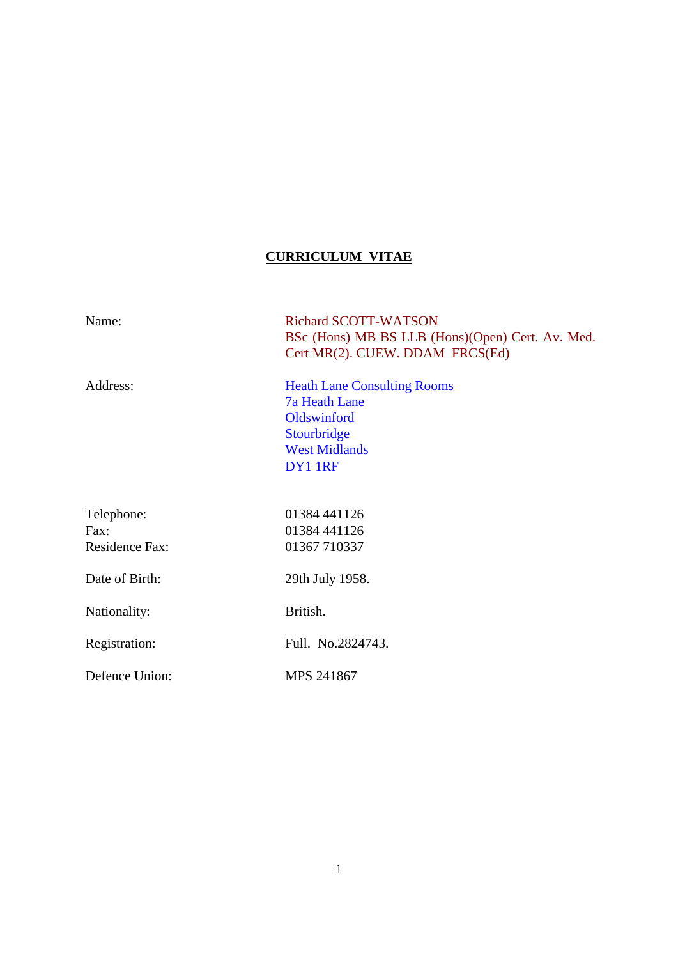# **CURRICULUM VITAE**

| Name:                                       | <b>Richard SCOTT-WATSON</b><br>BSc (Hons) MB BS LLB (Hons)(Open) Cert. Av. Med.<br>Cert MR(2). CUEW. DDAM FRCS(Ed)          |
|---------------------------------------------|-----------------------------------------------------------------------------------------------------------------------------|
| Address:                                    | <b>Heath Lane Consulting Rooms</b><br><b>7a Heath Lane</b><br>Oldswinford<br>Stourbridge<br><b>West Midlands</b><br>DY1 1RF |
| Telephone:<br>Fax:<br><b>Residence Fax:</b> | 01384 441126<br>01384 441126<br>01367 710337                                                                                |
| Date of Birth:                              | 29th July 1958.                                                                                                             |
| Nationality:                                | British.                                                                                                                    |
| Registration:                               | Full. No.2824743.                                                                                                           |
| Defence Union:                              | MPS 241867                                                                                                                  |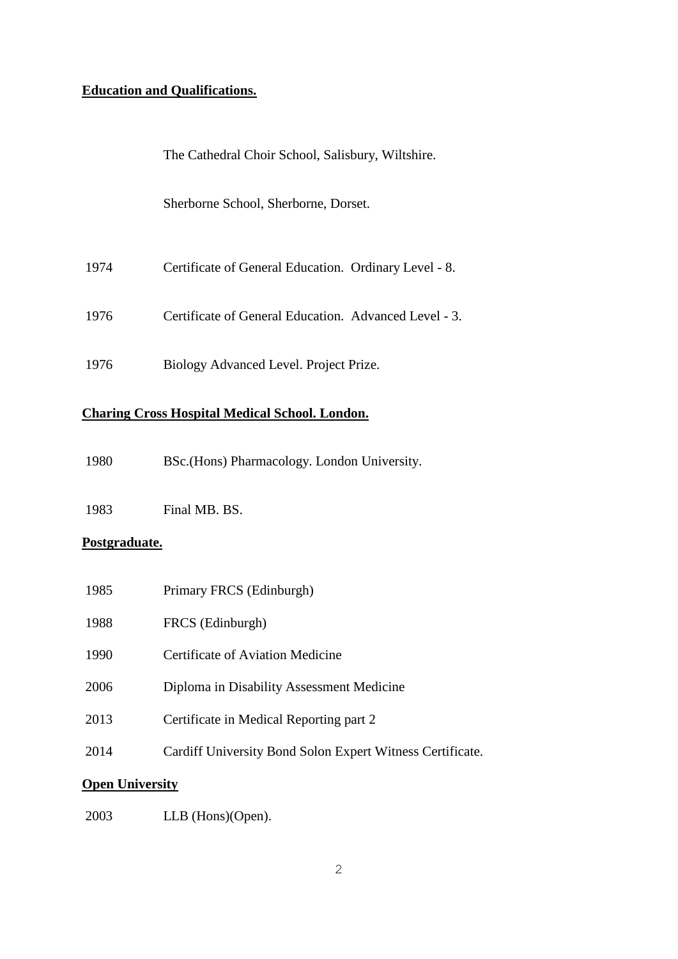## **Education and Qualifications.**

The Cathedral Choir School, Salisbury, Wiltshire.

Sherborne School, Sherborne, Dorset.

- Certificate of General Education. Ordinary Level 8.
- Certificate of General Education. Advanced Level 3.
- Biology Advanced Level. Project Prize.

### **Charing Cross Hospital Medical School. London.**

BSc.(Hons) Pharmacology. London University.

Final MB. BS.

## **Postgraduate.**

| 1985 | Primary FRCS (Edinburgh)                                  |
|------|-----------------------------------------------------------|
| 1988 | FRCS (Edinburgh)                                          |
| 1990 | Certificate of Aviation Medicine                          |
| 2006 | Diploma in Disability Assessment Medicine                 |
| 2013 | Certificate in Medical Reporting part 2                   |
| 2014 | Cardiff University Bond Solon Expert Witness Certificate. |
|      |                                                           |

## **Open University**

LLB (Hons)(Open).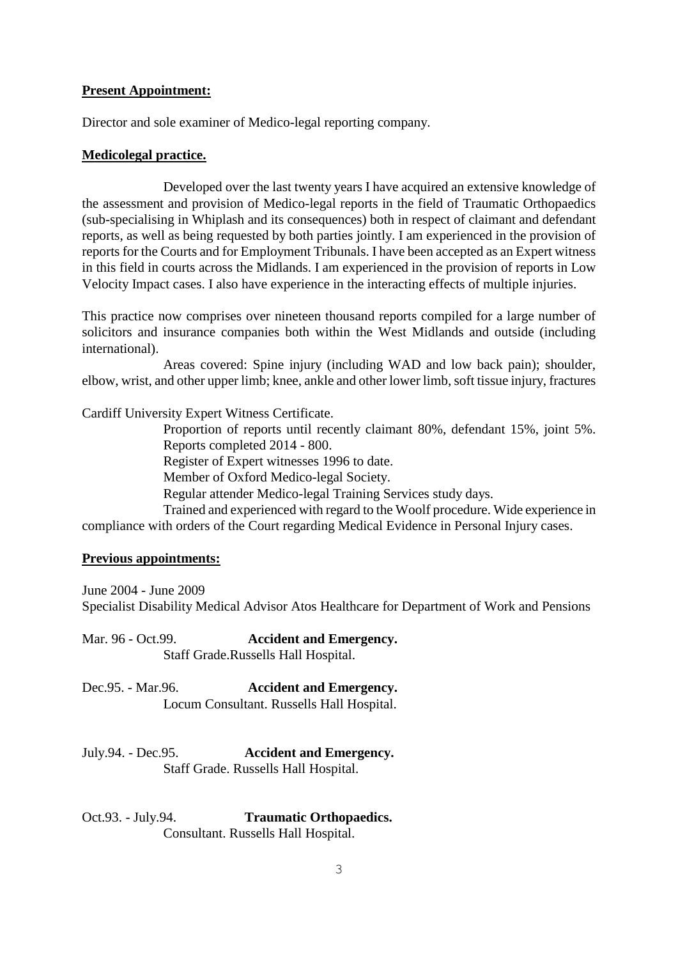### **Present Appointment:**

Director and sole examiner of Medico-legal reporting company.

#### **Medicolegal practice.**

Developed over the last twenty years I have acquired an extensive knowledge of the assessment and provision of Medico-legal reports in the field of Traumatic Orthopaedics (sub-specialising in Whiplash and its consequences) both in respect of claimant and defendant reports, as well as being requested by both parties jointly. I am experienced in the provision of reports for the Courts and for Employment Tribunals. I have been accepted as an Expert witness in this field in courts across the Midlands. I am experienced in the provision of reports in Low Velocity Impact cases. I also have experience in the interacting effects of multiple injuries.

This practice now comprises over nineteen thousand reports compiled for a large number of solicitors and insurance companies both within the West Midlands and outside (including international).

Areas covered: Spine injury (including WAD and low back pain); shoulder, elbow, wrist, and other upper limb; knee, ankle and other lower limb, soft tissue injury, fractures

Cardiff University Expert Witness Certificate.

Proportion of reports until recently claimant 80%, defendant 15%, joint 5%. Reports completed 2014 - 800.

Register of Expert witnesses 1996 to date.

Member of Oxford Medico-legal Society.

Regular attender Medico-legal Training Services study days.

Trained and experienced with regard to the Woolf procedure. Wide experience in compliance with orders of the Court regarding Medical Evidence in Personal Injury cases.

#### **Previous appointments:**

June 2004 - June 2009 Specialist Disability Medical Advisor Atos Healthcare for Department of Work and Pensions

Mar. 96 - Oct.99. **Accident and Emergency.** Staff Grade.Russells Hall Hospital.

Dec.95. - Mar.96. **Accident and Emergency.** Locum Consultant. Russells Hall Hospital.

### July.94. - Dec.95. **Accident and Emergency.** Staff Grade. Russells Hall Hospital.

### Oct.93. - July.94. **Traumatic Orthopaedics.** Consultant. Russells Hall Hospital.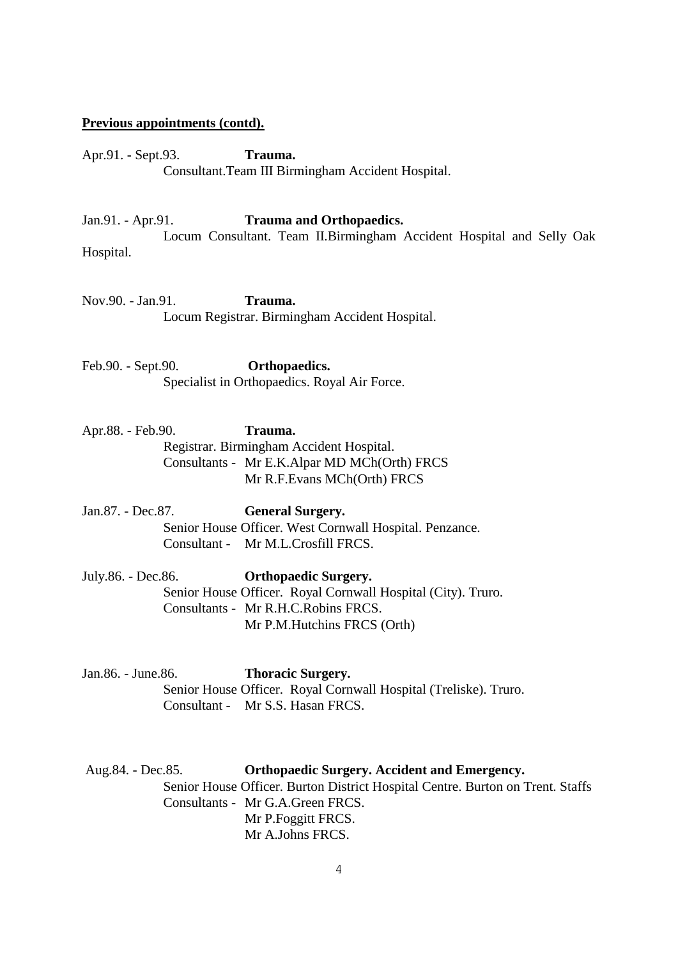#### **Previous appointments (contd).**

Apr.91. - Sept.93. **Trauma.** Consultant.Team III Birmingham Accident Hospital.

Jan.91. - Apr.91. **Trauma and Orthopaedics.**

Locum Consultant. Team II.Birmingham Accident Hospital and Selly Oak Hospital.

Nov.90. - Jan.91. **Trauma.** Locum Registrar. Birmingham Accident Hospital.

Feb.90. - Sept.90. **Orthopaedics.** Specialist in Orthopaedics. Royal Air Force.

Apr.88. - Feb.90. **Trauma.** Registrar. Birmingham Accident Hospital. Consultants - Mr E.K.Alpar MD MCh(Orth) FRCS Mr R.F.Evans MCh(Orth) FRCS

Jan.87. - Dec.87. **General Surgery.** Senior House Officer. West Cornwall Hospital. Penzance. Consultant - Mr M.L.Crosfill FRCS.

July.86. - Dec.86. **Orthopaedic Surgery.** Senior House Officer. Royal Cornwall Hospital (City). Truro. Consultants - Mr R.H.C.Robins FRCS. Mr P.M.Hutchins FRCS (Orth)

Jan.86. - June.86. **Thoracic Surgery.** Senior House Officer. Royal Cornwall Hospital (Treliske). Truro. Consultant - Mr S.S. Hasan FRCS.

Aug.84. - Dec.85. **Orthopaedic Surgery. Accident and Emergency.** Senior House Officer. Burton District Hospital Centre. Burton on Trent. Staffs Consultants - Mr G.A.Green FRCS. Mr P.Foggitt FRCS. Mr A.Johns FRCS.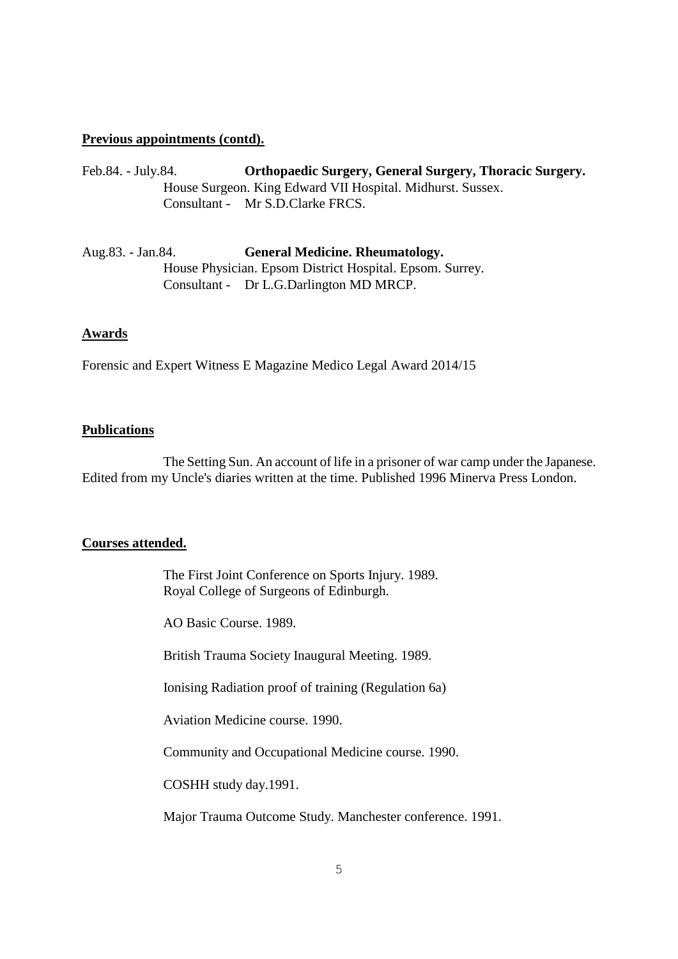### **Previous appointments (contd).**

- Feb.84. July.84. **Orthopaedic Surgery, General Surgery, Thoracic Surgery.** House Surgeon. King Edward VII Hospital. Midhurst. Sussex. Consultant - Mr S.D.Clarke FRCS.
- Aug.83. Jan.84. **General Medicine. Rheumatology.** House Physician. Epsom District Hospital. Epsom. Surrey. Consultant - Dr L.G.Darlington MD MRCP.

#### **Awards**

Forensic and Expert Witness E Magazine Medico Legal Award 2014/15

### **Publications**

The Setting Sun. An account of life in a prisoner of war camp under the Japanese. Edited from my Uncle's diaries written at the time. Published 1996 Minerva Press London.

#### **Courses attended.**

The First Joint Conference on Sports Injury. 1989. Royal College of Surgeons of Edinburgh.

AO Basic Course. 1989.

British Trauma Society Inaugural Meeting. 1989.

Ionising Radiation proof of training (Regulation 6a)

Aviation Medicine course. 1990.

Community and Occupational Medicine course. 1990.

COSHH study day.1991.

Major Trauma Outcome Study. Manchester conference. 1991.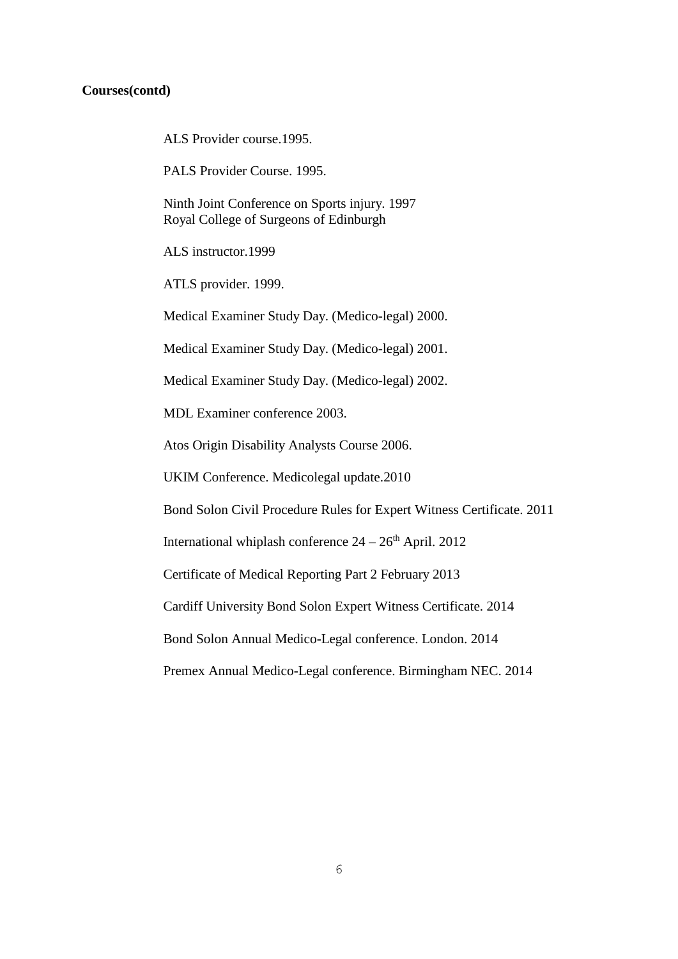#### **Courses(contd)**

ALS Provider course.1995.

PALS Provider Course. 1995.

Ninth Joint Conference on Sports injury. 1997 Royal College of Surgeons of Edinburgh

ALS instructor.1999

ATLS provider. 1999.

Medical Examiner Study Day. (Medico-legal) 2000.

Medical Examiner Study Day. (Medico-legal) 2001.

Medical Examiner Study Day. (Medico-legal) 2002.

MDL Examiner conference 2003.

Atos Origin Disability Analysts Course 2006.

UKIM Conference. Medicolegal update.2010

Bond Solon Civil Procedure Rules for Expert Witness Certificate. 2011

International whiplash conference  $24 - 26$ <sup>th</sup> April. 2012

Certificate of Medical Reporting Part 2 February 2013

Cardiff University Bond Solon Expert Witness Certificate. 2014

Bond Solon Annual Medico-Legal conference. London. 2014

Premex Annual Medico-Legal conference. Birmingham NEC. 2014